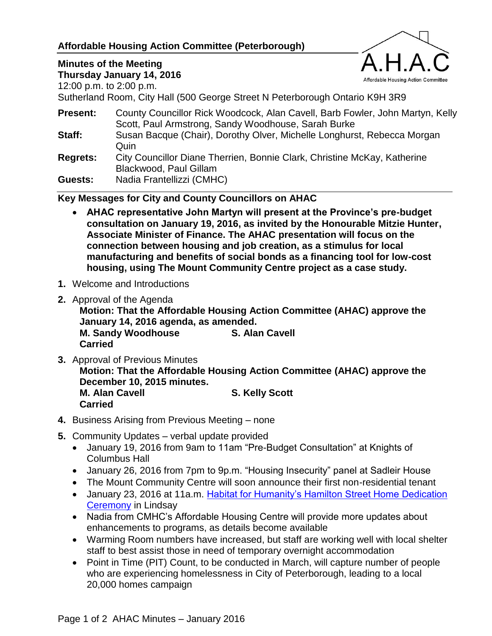### **Affordable Housing Action Committee (Peterborough)**

# Affordable Housing Action Committee

# **Minutes of the Meeting**

**Thursday January 14, 2016**

12:00 p.m. to 2:00 p.m.

Sutherland Room, City Hall (500 George Street N Peterborough Ontario K9H 3R9

- **Present:** County Councillor Rick Woodcock, Alan Cavell, Barb Fowler, John Martyn, Kelly Scott, Paul Armstrong, Sandy Woodhouse, Sarah Burke
- **Staff:** Susan Bacque (Chair), Dorothy Olver, Michelle Longhurst, Rebecca Morgan Quin
- **Regrets:** City Councillor Diane Therrien, Bonnie Clark, Christine McKay, Katherine Blackwood, Paul Gillam

**Guests:** Nadia Frantellizzi (CMHC)

#### **Key Messages for City and County Councillors on AHAC**

- **AHAC representative John Martyn will present at the Province's pre-budget consultation on January 19, 2016, as invited by the Honourable Mitzie Hunter, Associate Minister of Finance. The AHAC presentation will focus on the connection between housing and job creation, as a stimulus for local manufacturing and benefits of social bonds as a financing tool for low-cost housing, using The Mount Community Centre project as a case study.**
- **1.** Welcome and Introductions
- **2.** Approval of the Agenda

**Motion: That the Affordable Housing Action Committee (AHAC) approve the January 14, 2016 agenda, as amended. M. Sandy Woodhouse S. Alan Cavell**

**Carried**

- **3.** Approval of Previous Minutes **Motion: That the Affordable Housing Action Committee (AHAC) approve the December 10, 2015 minutes. M. Alan Cavell S. Kelly Scott Carried**
- **4.** Business Arising from Previous Meeting none
- **5.** Community Updates verbal update provided
	- January 19, 2016 from 9am to 11am "Pre-Budget Consultation" at Knights of Columbus Hall
	- January 26, 2016 from 7pm to 9p.m. "Housing Insecurity" panel at Sadleir House
	- The Mount Community Centre will soon announce their first non-residential tenant
	- January 23, 2016 at 11a.m. Habitat for Humanity's Hamilton Street Home Dedication [Ceremony](http://www.habitatpeterborough.ca/kawartha-lakes-project/kawartha-amazing-race/) in Lindsay
	- Nadia from CMHC's Affordable Housing Centre will provide more updates about enhancements to programs, as details become available
	- Warming Room numbers have increased, but staff are working well with local shelter staff to best assist those in need of temporary overnight accommodation
	- Point in Time (PIT) Count, to be conducted in March, will capture number of people who are experiencing homelessness in City of Peterborough, leading to a local 20,000 homes campaign